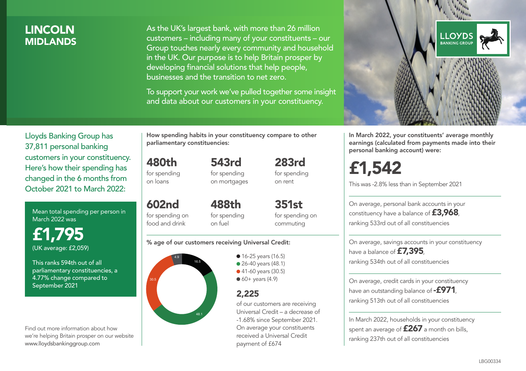## LINCOLN **MIDI ANDS**

As the UK's largest bank, with more than 26 million customers – including many of your constituents – our Group touches nearly every community and household in the UK. Our purpose is to help Britain prosper by developing financial solutions that help people, businesses and the transition to net zero.

To support your work we've pulled together some insight and data about our customers in your constituency.



Mean total spending per person in March 2022 was

£1,795 (UK average: £2,059)

This ranks 594th out of all parliamentary constituencies, a 4.77% change compared to September 2021

Find out more information about how we're helping Britain prosper on our website www.lloydsbankinggroup.com

How spending habits in your constituency compare to other parliamentary constituencies:

543rd

480th for spending on loans

602nd

for spending on mortgages 283rd for spending on rent

for spending on food and drink 488th for spending on fuel

351st for spending on commuting

#### % age of our customers receiving Universal Credit:



**16-25 years (16.5)** ● 26-40 years (48.1) ● 41-60 years (30.5)  $60+$  years (4.9)

### 2,225

of our customers are receiving Universal Credit – a decrease of -1.68% since September 2021. On average your constituents received a Universal Credit payment of £674



In March 2022, your constituents' average monthly earnings (calculated from payments made into their personal banking account) were:

£1,542

This was -2.8% less than in September 2021

On average, personal bank accounts in your constituency have a balance of £3,968, ranking 533rd out of all constituencies

On average, savings accounts in your constituency have a balance of £7,395, ranking 534th out of all constituencies

On average, credit cards in your constituency have an outstanding balance of  $-$ £971, ranking 513th out of all constituencies

In March 2022, households in your constituency spent an average of £267 a month on bills, ranking 237th out of all constituencies